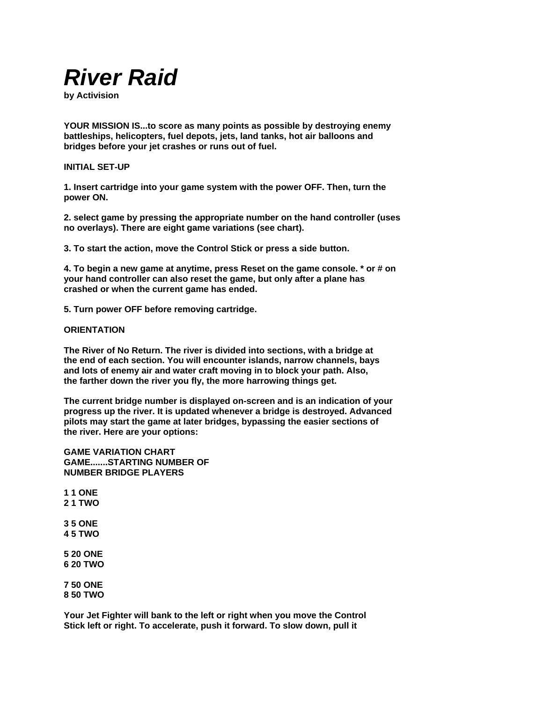## *River Raid*

**by Activision** 

**YOUR MISSION IS...to score as many points as possible by destroying enemy battleships, helicopters, fuel depots, jets, land tanks, hot air balloons and bridges before your jet crashes or runs out of fuel.** 

**INITIAL SET-UP** 

**1. Insert cartridge into your game system with the power OFF. Then, turn the power ON.** 

**2. select game by pressing the appropriate number on the hand controller (uses no overlays). There are eight game variations (see chart).** 

**3. To start the action, move the Control Stick or press a side button.** 

**4. To begin a new game at anytime, press Reset on the game console. \* or # on your hand controller can also reset the game, but only after a plane has crashed or when the current game has ended.** 

**5. Turn power OFF before removing cartridge.** 

## **ORIENTATION**

**The River of No Return. The river is divided into sections, with a bridge at the end of each section. You will encounter islands, narrow channels, bays and lots of enemy air and water craft moving in to block your path. Also, the farther down the river you fly, the more harrowing things get.** 

**The current bridge number is displayed on-screen and is an indication of your progress up the river. It is updated whenever a bridge is destroyed. Advanced pilots may start the game at later bridges, bypassing the easier sections of the river. Here are your options:** 

**GAME VARIATION CHART GAME.......STARTING NUMBER OF NUMBER BRIDGE PLAYERS** 

**Your Jet Fighter will bank to the left or right when you move the Control Stick left or right. To accelerate, push it forward. To slow down, pull it**